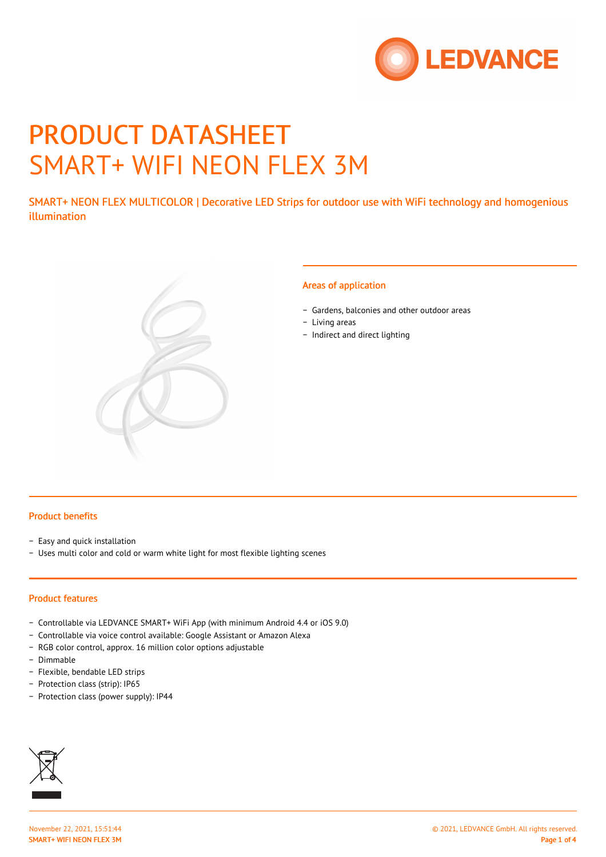

# PRODUCT DATASHEET SMART+ WIFI NEON FLEX 3M

SMART+ NEON FLEX MULTICOLOR | Decorative LED Strips for outdoor use with WiFi technology and homogenious illumination



#### Areas of application

- − Gardens, balconies and other outdoor areas
- − Living areas
- − Indirect and direct lighting

#### Product benefits

- − Easy and quick installation
- − Uses multi color and cold or warm white light for most flexible lighting scenes

# Product features

- − Controllable via LEDVANCE SMART+ WiFi App (with minimum Android 4.4 or iOS 9.0)
- − Controllable via voice control available: Google Assistant or Amazon Alexa
- − RGB color control, approx. 16 million color options adjustable
- − Dimmable
- − Flexible, bendable LED strips
- − Protection class (strip): IP65
- − Protection class (power supply): IP44

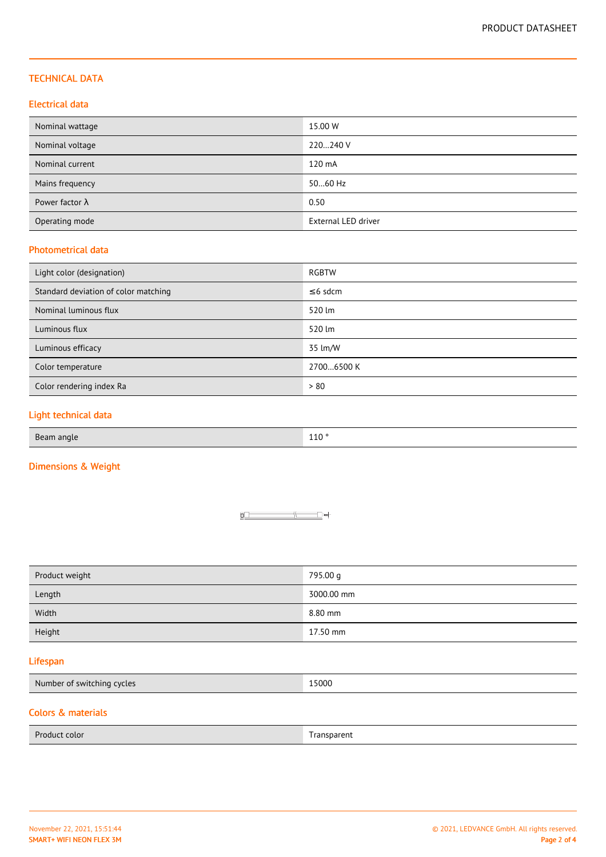## TECHNICAL DATA

## Electrical data

| Nominal wattage        | 15.00 W             |
|------------------------|---------------------|
| Nominal voltage        | 220240 V            |
| Nominal current        | 120 mA              |
| Mains frequency        | 5060 Hz             |
| Power factor $\lambda$ | 0.50                |
| Operating mode         | External LED driver |

## Photometrical data

| Light color (designation)            | RGBTW         |
|--------------------------------------|---------------|
| Standard deviation of color matching | $\leq$ 6 sdcm |
| Nominal luminous flux                | 520 lm        |
| Luminous flux                        | 520 lm        |
| Luminous efficacy                    | 35 lm/W       |
| Color temperature                    | 27006500 K    |
| Color rendering index Ra             | > 80          |

## Light technical data

Beam angle 110 ° and 110 ° and 110 ° and 110 ° and 110 ° and 110 ° and 110 ° and 110 °

# Dimensions & Weight



| Product weight | 795.00 g   |
|----------------|------------|
| Length         | 3000.00 mm |
| Width          | 8.80 mm    |
| Height         | 17.50 mm   |

## Lifespan

| Number of switching cycles | 15000 |
|----------------------------|-------|
|----------------------------|-------|

# Colors & materials

| Product color | Transparent |  |
|---------------|-------------|--|
|               |             |  |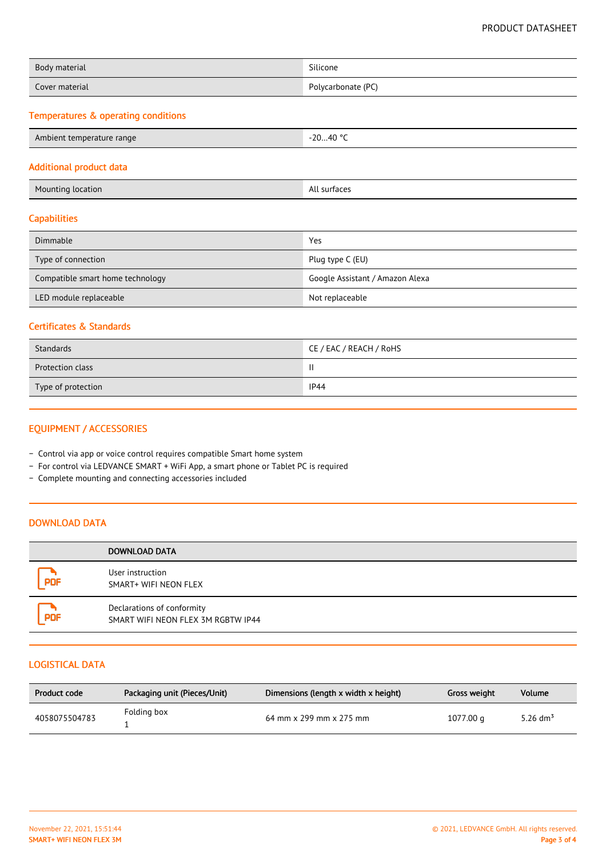| Body material  | Silicone           |
|----------------|--------------------|
| Cover material | Polycarbonate (PC) |

# Temperatures & operating conditions

| Ambient temperature range | -20…40 °C<br>$\sim$ |
|---------------------------|---------------------|
|---------------------------|---------------------|

#### Additional product data

| <b>Mounting location</b> | All surfaces |
|--------------------------|--------------|

# **Capabilities**

| Dimmable                         | Yes                             |
|----------------------------------|---------------------------------|
| Type of connection               | Plug type C (EU)                |
| Compatible smart home technology | Google Assistant / Amazon Alexa |
| LED module replaceable           | Not replaceable                 |

#### Certificates & Standards

| Standards          | CE / EAC / REACH / RoHS |
|--------------------|-------------------------|
| Protection class   | $\mathbf{\mathsf{I}}$   |
| Type of protection | <b>IP44</b>             |

# EQUIPMENT / ACCESSORIES

- − Control via app or voice control requires compatible Smart home system
- − For control via LEDVANCE SMART + WiFi App, a smart phone or Tablet PC is required
- − Complete mounting and connecting accessories included

#### DOWNLOAD DATA

|            | DOWNLOAD DATA                                                    |
|------------|------------------------------------------------------------------|
| <b>PDF</b> | User instruction<br>SMART+ WIFI NEON FLEX                        |
| <b>PDF</b> | Declarations of conformity<br>SMART WIFI NEON FLEX 3M RGBTW IP44 |

# LOGISTICAL DATA

| Product code  | Packaging unit (Pieces/Unit) | Dimensions (length x width x height) | Gross weight | Volume             |
|---------------|------------------------------|--------------------------------------|--------------|--------------------|
| 4058075504783 | Folding box                  | 64 mm x 299 mm x 275 mm              | 1077.00 g    | 5.26 $\rm{dm^{3}}$ |